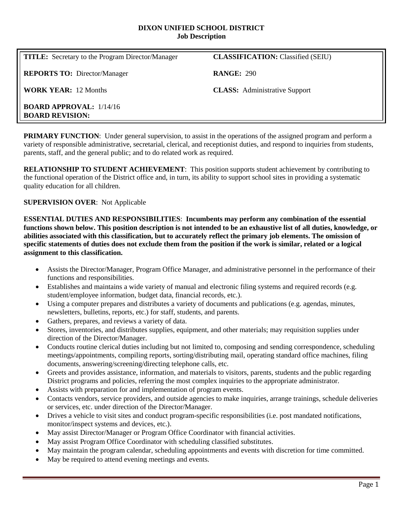#### **DIXON UNIFIED SCHOOL DISTRICT Job Description**

| <b>TITLE:</b> Secretary to the Program Director/Manager  | <b>CLASSIFICATION:</b> Classified (SEIU) |
|----------------------------------------------------------|------------------------------------------|
| <b>REPORTS TO:</b> Director/Manager                      | <b>RANGE: 290</b>                        |
| <b>WORK YEAR: 12 Months</b>                              | <b>CLASS:</b> Administrative Support     |
| <b>BOARD APPROVAL:</b> 1/14/16<br><b>BOARD REVISION:</b> |                                          |

**PRIMARY FUNCTION:** Under general supervision, to assist in the operations of the assigned program and perform a variety of responsible administrative, secretarial, clerical, and receptionist duties, and respond to inquiries from students, parents, staff, and the general public; and to do related work as required.

**RELATIONSHIP TO STUDENT ACHIEVEMENT**: This position supports student achievement by contributing to the functional operation of the District office and, in turn, its ability to support school sites in providing a systematic quality education for all children.

## **SUPERVISION OVER**: Not Applicable

**ESSENTIAL DUTIES AND RESPONSIBILITIES**: **Incumbents may perform any combination of the essential functions shown below. This position description is not intended to be an exhaustive list of all duties, knowledge, or abilities associated with this classification, but to accurately reflect the primary job elements. The omission of specific statements of duties does not exclude them from the position if the work is similar, related or a logical assignment to this classification.**

- Assists the Director/Manager, Program Office Manager, and administrative personnel in the performance of their functions and responsibilities.
- Establishes and maintains a wide variety of manual and electronic filing systems and required records (e.g. student/employee information, budget data, financial records, etc.).
- Using a computer prepares and distributes a variety of documents and publications (e.g. agendas, minutes, newsletters, bulletins, reports, etc.) for staff, students, and parents.
- Gathers, prepares, and reviews a variety of data.
- Stores, inventories, and distributes supplies, equipment, and other materials; may requisition supplies under direction of the Director/Manager.
- Conducts routine clerical duties including but not limited to, composing and sending correspondence, scheduling meetings/appointments, compiling reports, sorting/distributing mail, operating standard office machines, filing documents, answering/screening/directing telephone calls, etc.
- Greets and provides assistance, information, and materials to visitors, parents, students and the public regarding District programs and policies, referring the most complex inquiries to the appropriate administrator.
- Assists with preparation for and implementation of program events.
- Contacts vendors, service providers, and outside agencies to make inquiries, arrange trainings, schedule deliveries or services, etc. under direction of the Director/Manager.
- Drives a vehicle to visit sites and conduct program-specific responsibilities (i.e. post mandated notifications, monitor/inspect systems and devices, etc.).
- May assist Director/Manager or Program Office Coordinator with financial activities.
- May assist Program Office Coordinator with scheduling classified substitutes.
- May maintain the program calendar, scheduling appointments and events with discretion for time committed.
- May be required to attend evening meetings and events.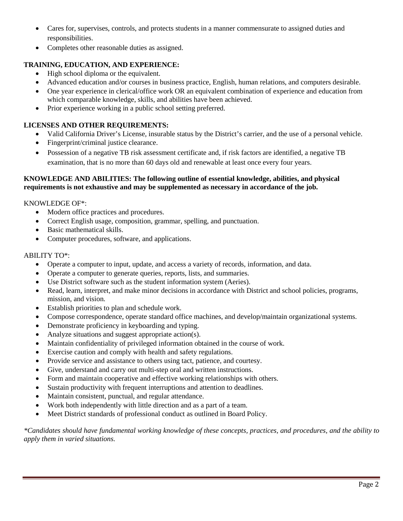- Cares for, supervises, controls, and protects students in a manner commensurate to assigned duties and responsibilities.
- Completes other reasonable duties as assigned.

# **TRAINING, EDUCATION, AND EXPERIENCE:**

- High school diploma or the equivalent.
- Advanced education and/or courses in business practice, English, human relations, and computers desirable.
- One year experience in clerical/office work OR an equivalent combination of experience and education from which comparable knowledge, skills, and abilities have been achieved.
- Prior experience working in a public school setting preferred.

# **LICENSES AND OTHER REQUIREMENTS:**

- Valid California Driver's License, insurable status by the District's carrier, and the use of a personal vehicle.
- Fingerprint/criminal justice clearance.
- Possession of a negative TB risk assessment certificate and, if risk factors are identified, a negative TB examination, that is no more than 60 days old and renewable at least once every four years.

### **KNOWLEDGE AND ABILITIES: The following outline of essential knowledge, abilities, and physical requirements is not exhaustive and may be supplemented as necessary in accordance of the job.**

## KNOWLEDGE OF\*:

- Modern office practices and procedures.
- Correct English usage, composition, grammar, spelling, and punctuation.
- Basic mathematical skills.
- Computer procedures, software, and applications.

## ABILITY TO\*:

- Operate a computer to input, update, and access a variety of records, information, and data.
- Operate a computer to generate queries, reports, lists, and summaries.
- Use District software such as the student information system (Aeries).
- Read, learn, interpret, and make minor decisions in accordance with District and school policies, programs, mission, and vision.
- Establish priorities to plan and schedule work.
- Compose correspondence, operate standard office machines, and develop/maintain organizational systems.
- Demonstrate proficiency in keyboarding and typing.
- Analyze situations and suggest appropriate action(s).
- Maintain confidentiality of privileged information obtained in the course of work.
- Exercise caution and comply with health and safety regulations.
- Provide service and assistance to others using tact, patience, and courtesy.
- Give, understand and carry out multi-step oral and written instructions.
- Form and maintain cooperative and effective working relationships with others.
- Sustain productivity with frequent interruptions and attention to deadlines.
- Maintain consistent, punctual, and regular attendance.
- Work both independently with little direction and as a part of a team.
- Meet District standards of professional conduct as outlined in Board Policy.

*\*Candidates should have fundamental working knowledge of these concepts, practices, and procedures, and the ability to apply them in varied situations.*